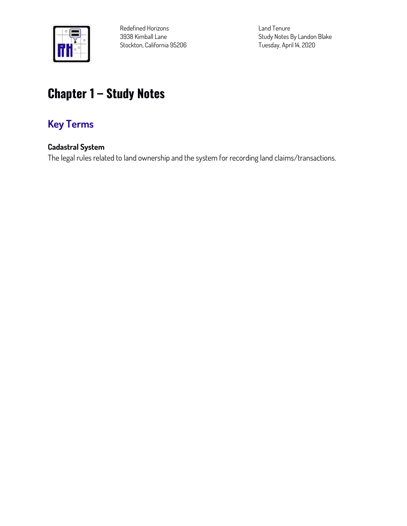

**Redefined Horizons 3938 Kimball Lane Stockton, California 95206** **Land Tenure Study Notes By Landon Blake Tuesday, April 14, 2020**

# **Chapter 1 – Study Notes**

# **Key Terms**

#### **Cadastral System**

**The legal rules related to land ownership and the system for recording land claims/transactions.**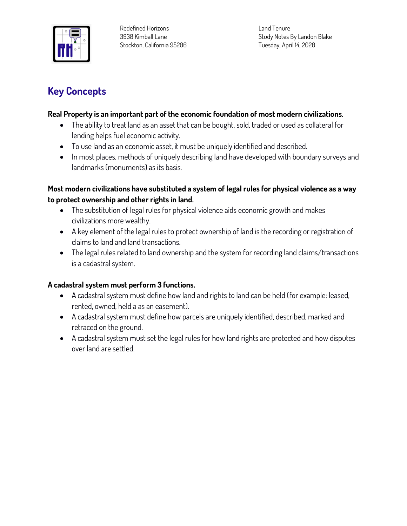

**Land Tenure Study Notes By Landon Blake Tuesday, April 14, 2020**

## **Key Concepts**

#### **Real Property is an important part of the economic foundation of most modern civilizations.**

- **The ability to treat land as an asset that can be bought, sold, traded or used as collateral for lending helps fuel economic activity.**
- **To use land as an economic asset, it must be uniquely identified and described.**
- **In most places, methods of uniquely describing land have developed with boundary surveys and landmarks (monuments) as its basis.**

#### **Most modern civilizations have substituted a system of legal rules for physical violence as a way to protect ownership and other rights in land.**

- **The substitution of legal rules for physical violence aids economic growth and makes civilizations more wealthy.**
- **A key element of the legal rules to protect ownership of land is the recording or registration of claims to land and land transactions.**
- **The legal rules related to land ownership and the system for recording land claims/transactions is a cadastral system.**

#### **A cadastral system must perform 3 functions.**

- **A cadastral system must define how land and rights to land can be held (for example: leased, rented, owned, held a as an easement).**
- **A cadastral system must define how parcels are uniquely identified, described, marked and retraced on the ground.**
- **A cadastral system must set the legal rules for how land rights are protected and how disputes over land are settled.**